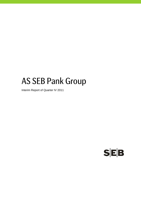# AS SEB Pank Group

Interim Report of Quarter IV 2011

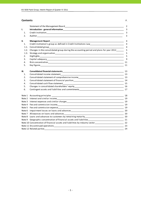#### **Contents** P.

|        |                                                                                                                                                                                                                               | 2  |
|--------|-------------------------------------------------------------------------------------------------------------------------------------------------------------------------------------------------------------------------------|----|
| ı.     |                                                                                                                                                                                                                               | 3  |
| 1.     |                                                                                                                                                                                                                               | 3  |
| 2.     |                                                                                                                                                                                                                               | 3  |
| II.    | <b>Management Report</b>                                                                                                                                                                                                      | 4  |
| 1.     | Credit institution's group as defined in Credit Institutions Law___________________________________                                                                                                                           | 4  |
| 1.1.   | Consolidated group contract that the contract of the contract of the contract of the contract of the contract of the contract of the contract of the contract of the contract of the contract of the contract of the contract | 4  |
| 1.2.   | Changes in the consolidated group during the accounting period and plans for year 2012                                                                                                                                        | 5  |
| 1.3.   |                                                                                                                                                                                                                               | 5  |
| 2.     | Highlights<br><u> 1989 - Jan James James James James James James James James James James James James James James James James J</u>                                                                                            | 5  |
| 3.     |                                                                                                                                                                                                                               | 9  |
| 4.     |                                                                                                                                                                                                                               | 11 |
| 5.     |                                                                                                                                                                                                                               | 11 |
| III.   |                                                                                                                                                                                                                               | 13 |
| 1.     |                                                                                                                                                                                                                               |    |
| 2.     | Consolidated statement of comprehensive income<br>13                                                                                                                                                                          |    |
| 3.     |                                                                                                                                                                                                                               |    |
| 4.     | Consolidated cash flow statement                                                                                                                                                                                              |    |
| 5.     |                                                                                                                                                                                                                               |    |
| 6.     | Contingent assets and liabilities and commitments ______________________________                                                                                                                                              | 17 |
|        |                                                                                                                                                                                                                               | 18 |
| Note 2 |                                                                                                                                                                                                                               |    |
| Note 3 |                                                                                                                                                                                                                               |    |
|        |                                                                                                                                                                                                                               |    |
|        |                                                                                                                                                                                                                               |    |
| Note 6 |                                                                                                                                                                                                                               |    |
|        |                                                                                                                                                                                                                               | 20 |
|        |                                                                                                                                                                                                                               |    |
|        |                                                                                                                                                                                                                               |    |
|        | Note 10 Concentration of financial assets and liabilities by industry sector                                                                                                                                                  | 22 |
|        |                                                                                                                                                                                                                               | 23 |
|        | Note 12 Related parties Note 12 Note 12 Note 12 Note 1                                                                                                                                                                        | 24 |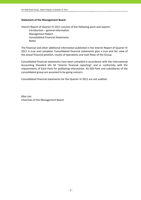## **Statement of the Management Board**

Interim Report of Quarter IV 2011 consists of the following parts and reports: Introduction – general information Management Report Consolidated Financial Statements Notes

The financial and other additional information published in the Interim Report of Quarter IV 2011 is true and complete. Consolidated financial statements give a true and fair view of the actual financial position, results of operations and cash flows of the Group.

Consolidated financial statements have been compiled in accordance with the International Accounting Standard IAS 34 "Interim financial reporting" and in conformity with the requirements of Eesti Pank for publishing information. AS SEB Pank and subsidiaries of the consolidated group are assumed to be going concern.

Consolidated financial statements for the Quarter IV 2011 are not audited.

Riho Unt Chairman of the Management Board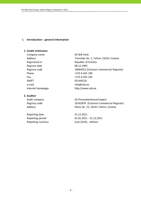## **I. Introduction ‐ general information**

## **1. Credit institution**

Company name AS SEB Pank Registry date 08.12.1995 Phone  $+3726655100$ Fax  $+3726655102$ SWIFT EEUHEE2X e-mail info@seb.ee

## **2. Auditor**

Reporting date 31.12.2011

Address Tornimäe Str. 2, Tallinn 15010, Estonia Registered in Republic of Estonia Registry code 10004252 (Estonian Commercial Register) Internet homepage http://www.seb.ee

Audit company **AS PricewaterhouseCoopers** Registry code 10142876 (Estonian Commercial Register) Address Pärnu Str. 15, 10141 Tallinn, Estonia

Reporting period 01.01.2011 ‐ 31.12.2011 Reporting currency **EUR** Euro (EUR), millions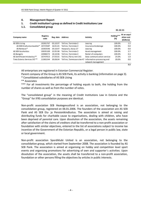#### **II. Management Report**

## **1. Credit institution's group as defined in Credit Institutions Law**

#### **1.1. Consolidated group**

 $\frac{31.12.11}{2.11}$ 

| Company name                            | <b>Registry</b><br>code | Reg. date | <b>Address</b>         | <b>Activity</b>                                      | Holding***<br>$(\%)$ | At an acqui-<br>sition cost<br>(EURmio) |
|-----------------------------------------|-------------------------|-----------|------------------------|------------------------------------------------------|----------------------|-----------------------------------------|
| AS SEB Liising                          | 10281767                | 03.10.97  | Tallinn, Tornimäe 2    | Leasing                                              | 100.0%               | 1.5                                     |
| AS SEB Kindlustusmaakler*               | 10723587                | 16.01.01  | Tallinn, Tornimäe 2    | Insurance brokerage                                  | 100.0%               | 0.0                                     |
| AS Rentacar*                            | 10303546                | 20.10.97  | Haapsalu, Karja 27     | Leasing                                              | 100.0%               | 0.0                                     |
| AS SEB Varahaldus                       | 10035169                | 22.05.96  | Tallinn. Tornimäe 2    | Asset management                                     | 100.0%               | 2.7                                     |
| AS Bangalo                              | 10088272                | 18.10.96  | Tallinn. Tornimäe 2    | Rental of computers                                  | 100.0%               | 0.3                                     |
| AS Sertifits eerimiskeskus**            | 10747013                | 27.03.01  | Tallinn, Pärnu mnt 141 | Data communication services                          | 25.0%                | 1.0                                     |
| Tieto Estonia Services OÜ <sup>**</sup> | 11065244                | 30.08.04  |                        | Tallinn, Tammsaare tee 47 Information processing and | 20.0%                | 0.0                                     |
|                                         |                         |           |                        | network management                                   |                      |                                         |
|                                         |                         |           |                        |                                                      |                      | 5.5                                     |

All enterprises are registered in Estonian Commercial Register.

Parent company of the Group is AS SEB Pank, its activity is banking (information on page 3).

\* Consolidated subsidiaries of AS SEB Liising

\*\* Associates

\*\*\* For all investments the percentage of holding equals to both, the holding from the number of shares as well as from the number of votes.

The "consolidated group" in the meaning of Credit Institutions Law in Estonia and the "Group" for IFRS consolidation purposes are identical.

Non‐profit association SEB Heategevusfond is an association, not belonging to the consolidation group, registered on 06.01.2006. The founders of the association are AS SEB Pank and AS SEB Elu- ja Pensionikindlustus. The association is aimed at raising and distributing funds for charitable cause to organisations, dealing with children, who have been deprived of parental care. Upon dissolution of the association, the assets remaining after satisfaction of the claims of creditors shall be transferred to a non‐profit association or foundation with similar objectives, entered to the list of associations subject to income tax incentive of the Government of the Estonian Republic, or a legal person in public law, state or local government.

Non‐profit association Spordiklubi United is an association, not belonging to the consolidation group, which started from September 2008. The association is founded by AS SEB Pank. The association is aimed at organising on hobby and competition level sport events and organising promotions for advertising of own and supporter´s activities. Upon dissolution of the association, the assets shall be transferred to a non‐profit association, foundation or other persons filling the objectives by articles in public interests.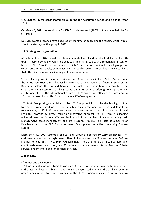# **1.2. Changes in the consolidated group during the accounting period and plans for year 2012**

On March 3, 2011 the subsidiary AS SEB Enskilda was sold (100% of the shares held by AS SEB Pank).

No such events or trends have occurred by the time of publishing the report, which would affect the strategy of the group in 2012.

# **1.3. Strategy and organisation**

AS SEB Pank is 100% owned by ultimate shareholder Skandinaviska Enskilda Banken AB (publ) – parent company, which belongs to a financial group with a remarkable history of business. SEB Pank Group, a member of SEB Group, is an Estonian financial group that serves private individuals, companies and the public sector. The bank is a universal bank that offers its customers a wide range of financial services.

SEB is a leading Nordic financial services group. As a relationship bank, SEB in Sweden and the Baltic countries offers financial advice and a wide range of financial services. In Denmark, Finland, Norway and Germany the bank's operations have a strong focus on corporate and investment banking based on a full‐service offering to corporate and institutional clients. The international nature of SEB's business is reflected in its presence in 20 countries worldwide. The Group has about 17,000 employees.

SEB Pank Group brings the vision of the SEB Group, which is to be the leading bank in Northern Europe based on entrepreneurship, an international presence and long‐term relationships, to life in Estonia. We promise our customers a rewarding relationship and keep this promise by always taking an innovative approach. AS SEB Pank is a leading universal bank in Estonia. We are leading within a number of areas including cash management, asset management and life insurance. AS SEB Pank acts as a Centre of Excellence within the SEB Group for Asset Management activities concerning Eastern Europe.

More than 833 900 customers of SEB Pank Group are served by 1210 employees. The customers are served through many different channels such as 36 branch offices, 240 on‐ line post offices, 353 ATMs, 6684 POS‐terminals. There are more than 510 500 debit and credit cards in use. In addition, over 75% of our customers use our Internet Bank for Private services and Internet Bank for Business services.

# **2. Highlights**

## Efficiency and development

2011 was a first year for Estonia to use euro. Adaption of the euro was the biggest project in the history of Estonian banking and SEB Pank played leading role in the banking sector in order to ensure shift to euro. Conversion of the SEB's Estonian banking system to the euro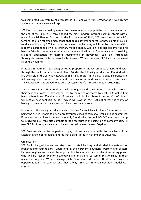was completed successfully. All processes in SEB Pank were transferred to the new currency and our customers were well kept.

SEB Pank has taken a leading role in the development and popularisation of e‐channels. At the end of the 2010, SEB Pank opened the most modern internet bank in Estonia with a novel Financial Planner function. In the first quarter of 2011, SEB Pank introduced a POS terminal solution for small merchants, that added several hundreds of new points‐of‐sale in rural areas. In spring SEB Pank launched a new mobile bank, which can be operated with a modern smartphone as well as ordinary mobile phone. SEB Pank has also become the first bank in Estonia to offer a special Internet bank application for iPhone, while also providing a special application for Android smartphones. In November SEB Pank introduced thoroughly renewed internetbank for businesses. Within one year, SEB Pank has renewed all of its e‐channels.

In 2011 SEB Pank started selling exclusive property insurance products of RSA Kindlustus through the bank's service network. From 16 May the following products of RSA Kindlustus are available in the service network of SEB Pank: motor third party liability insurance and full coverage car insurance, home and travel insurance, and business property insurance. The cooperation has proved to be very successful. RSA's turnover raised in 2011 66%.

Starting from June SEB Pank clients will no longer need to come into a branch to collect their new bank cards – they will be sent to them free of charge by post. SEB Pank is first bank in Estonia to offer that kind of service to whole client base. In future 80% of clients' will receive new bankcard by post, which will save at least 120,000 clients the worry of having to come into a branch just to collect their new bankcard.

In autumn SEB Leasing introduced special leasing for vehicles with low CO2 emission, thus being the first in Estonia to offer more favourable leasing terms to retail banking customers, if the new car purchased is environmentally friendly (i.e. the vehicle's CO2 emissions are up to 130g/km). SEB Pank also combats carbon footprint in the selection of company cars. All new SEB Pank company cars must have an emission level below 130g/km.

SEB Pank was chosen to the partner to pay out insurance indemnities to the clients of the Estonian branch of AB Bankas Snoras that's bankrupted in November in Lithuania.

## **Organisation**

SEB Pank changed the current structure of retail banking and divided the network of branches into four regions. Operations in the northern, southern, western and eastern Estonian regions are headed by regional directors with expanded decision‐making power who will be responsible for developing and managing customer relationships in their respective regions. With a change SEB Pank directed more attention at business opportunities in the counties and that is why SEB's pan‐Estonian operating model was improved.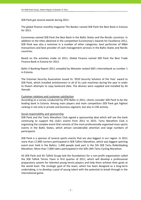SEB Pank got several awards during 2011:

The global finance monthly magazine The Banker named SEB Pank the Best Bank in Estonia for 2011.

Euromoney named SEB Pank the Best Bank in the Baltic States and the Nordic countries. In addition to the titles obtained in the competition Euromoney's Awards for Excellence 2011, SEB Pank was also a nominee in a number of other categories: best performer of M&A transactions and best provider of cash management services in the Baltic States and Nordic countries.

Based on the activities made on 2011, Global Finance named SEB Pank the Best Trade Finance Bank in Estonia for 2012.

Baltic E-Banking Report 2011 compiled by Metasite ranked SEB's internetbank as number 1 in Estonia.

The Estonian Security Association issued its '2010 Security Solution of the Year' award to SEB Pank, which installed antiskimmers in all of its cash machines during the year in order to thwart attempts to copy bankcard data. The devices were supplied and installed by AS Hansab.

## Customer relations and customer satisfaction

According to a survey conducted by EPSI Baltic in 2011, clients consider SEB Pank to be the leading bank in Estonia. Among main players and main competitors SEB Pank got highest ranking in not only in private and business segment, but also in CSR activity.

## Social responsibility and sponsorship

SEB Pank and the Tartu Marathon Club signed a sponsorship deal which will see the bank continuing to support the club's events from 2011 to 2015. Tartu Marathon Club is organizing the complex event that consists of the most professionally organised mass sports events in the Baltic States, which attract considerable attention and large numbers of participants.

SEB Pank is a sponsor of several sports events that are also biggest in our region. In 2011 more than 17,000 runners participated in SEB Tallinn Marathon, which was biggest sporting event ever held in the Baltics. 1,400 people took part in the 5th SEB Tartu Rollerblading Marathon. More than 7,000 riders participated in the SEB 14th Tartu Cycling Marathon.

AS SEB Pank and AS Tallink Grupp laid the foundations for a non‐profit organisation called the SEB Tallink Tennis Team in first quarter of 2011, which will develop a professional preparatory system for talented young tennis players and help them achieve their goals at the world level. The strategic goal of the team, which has been designed as a long‐term undertaking, is to develop a pool of young talent with the potential to break through in the international game.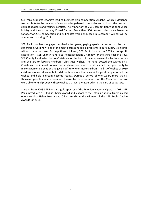SEB Pank supports Estonia's leading business plan competition 'Ajujaht', which is designed to contribute to the creation of new knowledge‐based companies and to boost the business skills of students and young scientists. The winner of the 2011 competition was announced in May and it was company Virtual Garden. More than 300 business plans were issued in October for 2012 competition and 20 finalists were announced in December. Winner will be announced in spring 2012.

SEB Pank has been engaged in charity for years, paying special attention to the next generation. Until now, one of the most distressing social problems in our country is children without parental care. To help these children, SEB Pank founded in 2005 a non-profit association – SEB Charity Fund (SEB Heategevusfond). Already for the third year in a row, SEB Charity Fund asked before Christmas for the help of the employees of substitute homes and shelters to forward children's Christmas wishes. The Fund posted the wishes on a Christmas tree in most popular portal where people across Estonia had the opportunity to make a personal donation and give a gift to one or more children. The list of wishes of 1060 children was very diverse, but it did not take more than a week for good people to find the wishes and help a dream become reality. During a period of one week, more than a thousand people made a donation. Thanks to these donations, on the Christmas Eve, we were able to fulfil precisely those wishes that were whispered into the ears of educators.

Starting from 2003 SEB Pank is a gold sponsor of the Estonian National Opera. In 2011 SEB Pank introduced SEB Public Choice Award and visitors to the Estonia National Opera picked opera soloists Helen Lokuta and Oliver Kuusik as the winners of the SEB Public Choice Awards for 2011.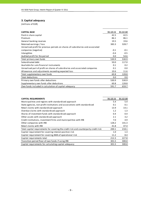# **3. Capital adequacy**

(millions of EUR)

| <b>CAPITAL BASE</b>                                                             | 31.12.11 | 31.12.10 |
|---------------------------------------------------------------------------------|----------|----------|
| Paid-in share capital                                                           | 42.5     | 42.5     |
| Premium                                                                         | 86.1     | 86.1     |
| General banking reserves                                                        | 19.5     | 19.6     |
| Retained earnings / loss                                                        | 383.3    | 328.7    |
| Unrealised profit for previous periods on shares of subsidiaries and associated |          |          |
| companies (negative)                                                            | $-0.1$   | $-0.1$   |
| Intangibles                                                                     | $-0.4$   | $-0.5$   |
| Audited profit for the period                                                   | 0.0      | 54.6     |
| Total primary own funds                                                         | 530.9    | 530.9    |
| Subordinated debt                                                               | 50.0     | 117.0    |
| Available for sale financial instruments                                        | 0.1      | 0.2      |
| Unrealised part of profit on shares of subsidiaries and associated companies    | 0.1      | 0.0      |
| Allowances and adjustments exceeding expected loss                              | 10.6     | 11.6     |
| Total supplementary own funds                                                   | 60.8     | 128.8    |
| Total deductions                                                                | 0.0      | 0.0      |
| Primary own funds after deductions                                              | 530.9    | 530.9    |
| Supplementary own funds after deductions                                        | 60.8     | 128.8    |
| Own funds included in calculation of capital adequacy                           | 591.7    | 659.7    |

| <b>CAPITAL REQUIREMENTS</b>                                                          | 31.12.11 | 31.12.10 |
|--------------------------------------------------------------------------------------|----------|----------|
| Municipalities and regions with standardised approach                                | 5.4      | 5.4      |
| State agencies, non-profit institutions and associations with standardised           | 0.1      | 0.1      |
| Retail claims with standardised approach                                             | 13.9     | 14.1     |
| Overdue claims with standardised approach                                            | 1.2      | 1.3      |
| Shares of investment funds with standardised approach                                | 0.4      | 0.4      |
| Other assets with standardised approach                                              | 2.1      | 3.2      |
| Credit institutions, investment firms and municipalities with IRB                    | 7.0      | 4.9      |
| Other companies with IRB                                                             | 128.2    | 141.3    |
| Retail claims with IRB                                                               | 41.8     | 47.4     |
| Total capital requirements for covering the credit risk and counterparty credit risk | 200.1    | 218.1    |
| Capital requirement for covering interest position risk                              | 1.0      | 1.3      |
| Capital requirement for covering AMA of operational risk                             | 11.2     | 8.4      |
| Capital requirements total                                                           | 212.3    | 227.8    |
| Transition period floor of own funds if using IRB                                    | 301.5    | 300.0    |
| Capital requirements for calculating capital adequacy                                | 301.5    | 300.0    |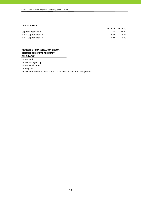#### **CAPITAL RATIOS**

|                         | 31.12.11 31.12.10 |       |
|-------------------------|-------------------|-------|
| Capital adequacy, %     | 19.62             | 21.99 |
| Tier 1 Capital Ratio, % | 17.61             | 17.69 |
| Tier 2 Capital Ratio, % | 2.01              | 4.30  |

#### **MEMBERS OF CONSOLIDATION GROUP, INCLUDED TO CAPITAL ADEQUACY CALCULATION**

AS SEB Pank

AS SEB Liising Group

AS SEB Varahaldus

AS Bangalo

AS SEB Enskilda (sold in March, 2011, no more in consolidation group)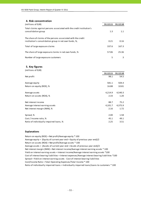## **4. Risk concentration**

| (millions of EUR)                                                                            | 31.12.11 | 31.12.10 |
|----------------------------------------------------------------------------------------------|----------|----------|
| Total claims against persons associated with the credit institution's<br>consolidation group | 1.3      | 1.1      |
| The share of claims of the persons associated with the credit                                |          |          |
| institution's consolidation group in net own funds, %,                                       | 0.21     | 0.16     |
| Total of large exposure claims                                                               | 337.6    | 167.3    |
| The share of large exposure claims in net own funds, %                                       | 57.06    | 25.36    |
| Number of large exposure customers                                                           | 5        |          |

#### **5. Key figures**  $(1, 0)$

| (MILITIONS OF EUR)                      |          |          |
|-----------------------------------------|----------|----------|
|                                         | 31.12.11 | 31.12.10 |
| Net profit                              | 98.1     | 54.5     |
| Average equity                          | 581.1    | 504.4    |
| Return on equity (ROE), %               | 16.88    | 10.81    |
| Average assets                          | 4,214.9  | 4,540.3  |
| Return on assets (ROA), %               | 2.33     | 1.20     |
| Net interest income                     | 88.7     | 75.2     |
| Average interest earning assets         | 4,101.7  | 4,375.9  |
| Net interest margin (NIM), %            | 2.16     | 1.72     |
| Spread, %                               | 2.00     | 1.58     |
| Cost / Income ratio, %                  | 45.1     | 49.1     |
| Ratio of individually impaired loans, % | 2.25     | 3.51     |
|                                         |          |          |

#### **Explanations**

Return on equity (ROE) = Net profit/Average equity \* 100 Average equity = (Equity of current year end + Equity of previous year end)/2 Return on assets (ROA) = Net profit/Average assets \* 100 Average assets = (Assets of current year end + Assets of previous year end)/2 Cost of interest bearing liabilities = Interest expenses/Average interest bearing liabilities \*100 Cost/Income Ratio = Total Operating Expenses/Total Income \* 100 Spread = Yield on interest earning assets ‐ Cost of interest bearing liabilities Ratio of individually impaired loans = Individually impaired loans/Loans to customers \* 100 Net interest margin (NIM) = Net interest income/Average interest earning assets \* 100 Yield on interest earning assets = Interest income/Average interest earning assets \*100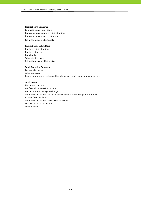#### **Interest earning assets:**

Balances with central bank Loans and advances to credit institutions (all without accrued interests) Loans and advances to customers

#### **Interest bearing liabilities:**

Due to credit institutions Due to customers Loan funds Subordinated loans (all without accrued interests)

#### **Total Operating Expenses:**

Personnel expenses Other expenses Depreciation, amortisation and impairment of tangible and intangible assets

#### **Total Income:**

Net interest income Net fee and commission income Net income from foreign exchange Gains less losses from financial assets at fair value through profit or loss Income from dividends Gains less losses from investment securities Share of profit of associates Other income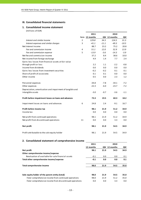#### **III. Consolidated financial statements**

## **1. Consolidated income statement**

(millions of EUR)

|                                                           |                | 2011           |         | 2010          |         |
|-----------------------------------------------------------|----------------|----------------|---------|---------------|---------|
|                                                           |                | Note 12 months |         | QIV 12 months | QIV     |
| Interest and similar income                               | 2              | 129.8          | 34.3    | 124.5         | 31.3    |
| Interest expenses and similar charges                     | 3              | $-41.1$        | $-11.1$ | $-49.3$       | $-10.5$ |
| Net Interest Income                                       |                | 88.7           | 23.2    | 75.2          | 20.8    |
| Fee and commission income                                 | $\overline{4}$ | 51.1           | 12.0    | 52.9          | 13.9    |
| Fee and commission expense                                | 5              | $-13.9$        | $-3.6$  | $-14.3$       | $-3.9$  |
| Net fee and commission income                             |                | 37.2           | 8.4     | 38.6          | 10.0    |
| Net income from foreign exchange                          |                | 4.9            | 1.4     | 7.7           | 2.4     |
| Gains less losses from financial assets at fair value     |                |                |         |               |         |
| through profit or loss                                    |                | 2.2            | 1.1     | $-2.2$        | $-0.8$  |
| Income from dividends                                     |                | 0.0            | 0.0     | 0.0           | 0.0     |
| Gains less losses from investment securities              |                | $-0.2$         | $-0.2$  | 0.1           | 0.1     |
| Share of profit of associates                             |                | 0.1            | 0.1     | 0.0           | 0.0     |
| Other income                                              |                | 0.5            | 0.0     | 2.3           | 1.2     |
| Personnel expenses                                        |                | $-34.8$        | $-7.8$  | $-34.1$       | $-7.2$  |
| Other expenses                                            |                | $-22.3$        | $-6.0$  | $-23.7$       | $-7.2$  |
| Depreciation, amortisation and impairment of tangible and |                |                |         |               |         |
| intangible assets                                         |                | $-3.0$         | $-0.7$  | $-3.6$        | $-1.1$  |
| Profit before impairment losses on loans and advances     |                | 73.3           | 19.5    | 60.3          | 18.2    |
| Impairment losses on loans and advances                   | 6              | 24.8           | 2.4     | $-9.1$        | 16.7    |
| Profit before income tax                                  |                | 98.1           | 21.9    | 51.2          | 34.9    |
| Income tax                                                |                | 0.0            | 0.0     | 0.0           | 0.0     |
| Net profit from continued operations                      |                | 98.1           | 21.9    | 51.2          | 34.9    |
| Net profit from discontinued operations                   | 11             | 0.0            | 0.0     | 3.3           | 0.0     |
| <b>Net profit</b>                                         |                | 98.1           | 21.9    | 54.5          | 34.9    |
| Profit attributable to the sole equity holder             |                | 98.1           | 21.9    | 54.5          | 34.9    |

# **2. Consolidated statement of comprehensive income**

|                                                          | 2011      |      | 2010          |      |
|----------------------------------------------------------|-----------|------|---------------|------|
|                                                          | 12 months |      | QIV 12 months | QIV  |
| Net profit                                               | 98.1      | 21.9 | 54.5          | 34.9 |
| Other comprehensive income/expense                       |           |      |               |      |
| Revaluation of available-for-sale financial assets       | $-0.1$    | 0.0  | 0.0           | 0.1  |
| Total other comprehensive income/expense                 | $-0.1$    | 0.0  | 0.0           | 0.1  |
| Total comprehensive income                               | 98.0      | 21.9 | 54.5          | 35.0 |
| Sole equity holder of the parent entity (total)          | 98.0      | 21.9 | 54.5          | 35.0 |
| -Total comprehensive income from continued operations    | 98.0      | 21.9 | 51.2          | 35.0 |
| -Total comprehensive income from discontinued operations | 0.0       | 0.0  | 3.3           | 0.0  |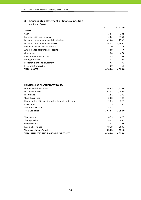# **3. Consolidated statement of financial position**

| (millions of EUR)                         |          |          |
|-------------------------------------------|----------|----------|
|                                           | 31.12.11 | 31.12.10 |
| <b>ASSETS</b>                             |          |          |
| Cash                                      | 38.7     | 38.9     |
| Balances with central bank                | 49.5     | 316.2    |
| Loans and advances to credit institutions | 423.0    | 279.5    |
| Loans and advances to customers           | 3,540.5  | 3,606.7  |
| Financial assets held for trading         | 21.0     | 21.9     |
| Available-for-sale financial assets       | 4.9      | 5.0      |
| Other assets                              | 18.0     | 47.8     |
| Investments in associates                 | 0.5      | 0.4      |
| Intangible assets                         | 0.4      | 0.5      |
| Property, plant and equipment             | 7.5      | 7.3      |
| Investment properties                     | 0.0      | 1.6      |
| <b>TOTAL ASSETS</b>                       | 4,104.0  | 4,325.8  |

#### **LIABILITIES AND SHAREHOLDERS' EQUITY**

| Due to credit institutions                                 | 948.5   | 1,419.4 |
|------------------------------------------------------------|---------|---------|
| Due to customers                                           | 2,378.8 | 2,149.4 |
| Loan funds                                                 | 18.1    | 13.3    |
| Other liabilities                                          | 54.8    | 72.1    |
| Financial liabilities at fair value through profit or loss | 20.5    | 22.3    |
| Provisions                                                 | 2.9     | 0.3     |
| Subordinated loans                                         | 50.1    | 117.2   |
| <b>Total Liabilities</b>                                   | 3,473.7 | 3,794.0 |
| Share capital                                              | 42.5    | 42.5    |
|                                                            |         |         |
| Share premium                                              | 86.1    | 86.1    |
| Other reserves                                             | 19.8    | 19.9    |
| Retained earnings                                          | 481.9   | 383.3   |
| Total shareholders' equity                                 | 630.3   | 531.8   |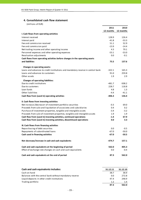## **4. Consolidated cash flow statement**

(millions of EUR)

|                                                                                 | 2011      | 2010      |
|---------------------------------------------------------------------------------|-----------|-----------|
|                                                                                 | 12 months | 12 months |
| I. Cash flows from operating activities                                         |           |           |
| Interest received                                                               | 128.9     | 126.4     |
| Interest paid                                                                   | $-41.8$   | $-53.3$   |
| Fee and commission received                                                     | 51.1      | 52.9      |
| Fee and commission paid                                                         | $-13.9$   | $-14.4$   |
| Net trading income and other operating income                                   | 4.3       | 79.1      |
| Personnel expenses and other operating expenses                                 | $-53.1$   | $-53.0$   |
| Revaluation adjustments                                                         | 0.0       | $-0.1$    |
| Cash flows from operating activities before changes in the operating assets     |           |           |
| and liabilities                                                                 | 75.5      | 137.6     |
| Changes in operating assets:                                                    |           |           |
| Loans and advances to credit institutions and mandatory reserve in central bank | $-322.1$  | 165.3     |
| Loans and advances to customers                                                 | 91.0      | 259.8     |
| Other assets                                                                    | 1.9       | 2.9       |
|                                                                                 |           |           |
| <b>Changes of operating liabilities:</b>                                        |           |           |
| Due to credit institutions                                                      | $-481.7$  | $-508.2$  |
| Due to customers                                                                | 228.7     | 118.8     |
| Loan funds                                                                      | 4.8       | 1.3       |
| Other liabilities                                                               | $-4.4$    | $-41.1$   |
| Cash flow from (used in) operating activities                                   | $-406.3$  | 136.4     |
| II. Cash flows from investing activities                                        |           |           |
| Net increase-/decrease+ of investment portfolio securities                      | $-0.3$    | 69.0      |
| Proceeds from sale and liquidation of associates and subsidiaries               | 0.4       | 0.2       |
| Purchase of investment properties, tangible and intangible assets               | $-3.4$    | $-3.2$    |
| Proceeds from sale of investment properties, tangible and intangible assets     | 1.9       | 1.9       |
| Cash flow from (used in) investing activities, continued operations             | $-1.4$    | 67.9      |
| Cash flow from (used in) investing activities, discontinued operations          | 0.0       | 3.3       |
|                                                                                 |           |           |
| III. Cash flows from financing activities<br>Repurchasing of debt securities    | 0.0       | $-0.5$    |
| Repayments of subordinated loans                                                | $-67.0$   | $-50.0$   |
| Cash used in financing activities                                               | $-67.0$   | $-50.5$   |
|                                                                                 |           |           |
| Net decrease/increase in cash and cash equivalents                              | $-474.7$  | 157.1     |
| Cash and cash equivalents at the beginning of period                            | 562.0     | 405.3     |
| Effect of exchange rate changes on cash and cash equivalents                    | 0.0       | $-0.4$    |
| Cash and cash equivalents at the end of period                                  | 87.3      | 562.0     |

| Cash and cash equivalents includes:                      | 31.12.11 | 31.12.10 |
|----------------------------------------------------------|----------|----------|
| Cash on hand                                             | 38.7     | 38.9     |
| Balances with the central bank without mandatory reserve | 0.0      | 272.8    |
| Liquid deposits in other credit institutions             | 47.4     | 248.9    |
| Trading portfolio                                        | 1.2      | 1.4      |
|                                                          | 87.3     | 562.0    |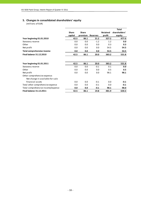# **5. Changes in consolidated shareholders' equity**

(millions of EUR)

|                                    |              |              |                 |                 | <b>Total</b>  |
|------------------------------------|--------------|--------------|-----------------|-----------------|---------------|
|                                    | <b>Share</b> | <b>Share</b> |                 | <b>Retained</b> | shareholders' |
|                                    | capital      | premium      | <b>Reserves</b> | profit          | equity        |
| Year beginning 01.01.2010          | 42.5         | 86.1         | 21.2            | 327.2           | 477.0         |
| Statutory reserve                  | 0.0          | 0.0          | $-1.2$          | 1.2             | 0.0           |
| Other                              | 0.0          | 0.0          | 0.0             | 0.3             | 0.3           |
| Net profit                         | 0.0          | 0.0          | 0.0             | 54.5            | 54.5          |
| Total comprehensive income         | 0.0          | 0.0          | 0.0             | 54.5            | 54.5          |
| <b>Final balance 31.12.2010</b>    | 42.5         | 86.1         | 20.0            | 383.2           | 531.8         |
|                                    |              |              |                 |                 |               |
| Year beginning 01.01.2011          | 42.5         | 86.1         | 20.0            | 383.2           | 531.8         |
| Statutory reserve                  | 0.0          | 0.0          | $-0.1$          | 0.1             | 0.0           |
| Other                              | 0.0          | 0.0          | 0.0             | 0.5             | 0.5           |
| Net profit                         | 0.0          | 0.0          | 0.0             | 98.1            | 98.1          |
| Other comprehensive expense:       |              |              |                 |                 |               |
| Net change in available-for-sale   |              |              |                 |                 |               |
| financial assets                   | 0.0          | 0.0          | $-0.1$          | 0.0             | $-0.1$        |
| Total other comprehensive expense  | 0.0          | 0.0          | $-0.1$          | 0.0             | $-0.1$        |
| Total comprehensive income/expense | 0.0          | 0.0          | $-0.1$          | 98.1            | 98.0          |
| <b>Final balance 31.12.2011</b>    | 42.5         | 86.1         | 19.8            | 481.9           | 630.3         |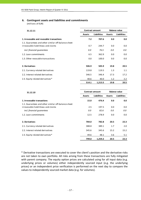## **6. Contingent assets and liabilities and commitments** (millions of EUR)

| 31.12.11                                                                                   | <b>Contract amount</b> |                    | <b>Balance value</b> |                    |  |
|--------------------------------------------------------------------------------------------|------------------------|--------------------|----------------------|--------------------|--|
|                                                                                            | <b>Assets</b>          | <b>Liabilities</b> | <b>Assets</b>        | <b>Liabilities</b> |  |
| 1. Irrevocable and revocable transactions                                                  | 7.2                    | 707.6              | 0.0                  | 0.0                |  |
| 1.1. Guarantees and other similar off-balance sheet<br>irrovocable liabilitieas and claims | 0.7                    | 244.7              | 0.0                  | 0.0                |  |
| incl. financial quarantees                                                                 | 0.0                    | 76.5               | 0.0                  | 0.0                |  |
| 1.2. Loan commitments                                                                      | 6.5                    | 362.9              | 0.0                  | 0.0                |  |
| 1.3. Other revocable transactions                                                          | 0.0                    | 100.0              | 0.0                  | 0.0                |  |
| 2. Derivatives                                                                             | 506.9                  | 505.9              | 19.8                 | 20.5               |  |
| 2.1. Currency related derivatives                                                          | 119.8                  | 119.5              | 1.3                  | 1.1                |  |
| 2.2. Interest related derivatives                                                          | 346.5                  | 346.4              | 17.3                 | 17.2               |  |
| 2.3. Equity related derivatives*                                                           | 40.6                   | 40.0               | 1.2                  | 2.2                |  |
|                                                                                            | 514.1                  | 1,213.5            | 19.8                 | 20.5               |  |

| 31.12.10                                            |               | <b>Contract amount</b> | <b>Balance value</b> |                    |  |
|-----------------------------------------------------|---------------|------------------------|----------------------|--------------------|--|
|                                                     | <b>Assets</b> | <b>Liabilities</b>     | <b>Assets</b>        | <b>Liabilities</b> |  |
| 1. Irrevocable transactions                         | 15.0          | 476.4                  | 0.0                  | 0.0                |  |
| 1.1. Guarantees and other similar off-balance sheet |               |                        |                      |                    |  |
| irrovocable liabilitieas and claims                 | 2.5           | 197.5                  | 0.0                  | 0.0                |  |
| incl. financial guarantees                          | 0.0           | 82.6                   | 0.0                  | 0.0                |  |
| 1.2. Loan commitments                               | 12.5          | 278.9                  | 0.0                  | 0.0                |  |
| 2. Derivatives                                      | 784.0         | 782.8                  | 20.5                 | 22.3               |  |
| 2.1. Currency related derivatives                   | 388.8         | 389.1                  | 1.7                  | 2.0                |  |
| 2.2. Interest related derivatives                   | 345.6         | 345.6                  | 15.2                 | 15.2               |  |
| 2.3. Equity related derivatives*                    | 49.6          | 48.1                   | 3.6                  | 5.1                |  |
|                                                     | 799.0         | 1,259.2                | 20.5                 | 22.3               |  |

\* Derivative transactions are executed to cover the client's position and the derivative risks are not taken to own portfolio. All risks arising from these transactions are fully mitigated with parent company. The equity option prices are calculated using for all input data (e.g. underlying prices or volumes) either independently sourced input (e.g. the underlying prices) or an independent price verification is performed on the next day to compare the values to independently sourced market data (e.g. for volumes).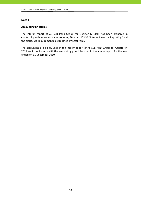## **Accounting principles**

The interim report of AS SEB Pank Group for Quarter IV 2011 has been prepared in conformity with International Accounting Standard IAS 34 "Interim Financial Reporting" and the disclosure requirements, established by Eesti Pank.

The accounting principles, used in the interim report of AS SEB Pank Group for Quarter IV 2011 are in conformity with the accounting principles used in the annual report for the year ended on 31 December 2010.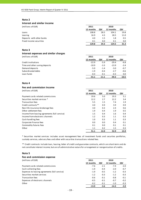#### **Interest and similar income**

| (millions of EUR)         | 2011      |      | 2010      |      |
|---------------------------|-----------|------|-----------|------|
|                           | 12 months | QIV  | 12 months | QIV  |
| Loans                     | 108.8     | 28.5 | 104.1     | 19.8 |
| Leasing                   | 16.9      | 4.3  | 18.5      | 11.0 |
| Deposits with other banks | 4.0       | 1.5  | 1.8       | 0.5  |
| Fixed income securities   | 0.1       | 0.0  | 0.1       | 0.0  |
|                           | 129.8     | 34.3 | 124.5     | 31.3 |

#### **Note 3**

#### **Interest expenses and similar charges** (millions of EUR) **2011 2010**

|                                | 12 months | QIV     | 12 months | QIV     |
|--------------------------------|-----------|---------|-----------|---------|
| Credit institutions            | $-22.9$   | $-5.9$  | $-29.4$   | -6.8    |
| Time and other saving deposits | $-10.9$   | $-3.3$  | $-13.9$   | $-2.4$  |
| Demand deposits                | $-5.0$    | $-1.4$  | $-3.0$    | $-0.7$  |
| Subordinated debts             | $-1.9$    | $-0.4$  | $-2.7$    | $-0.6$  |
| Loan funds                     | $-0.4$    | $-0.1$  | $-0.3$    | 0.0     |
|                                | $-41.1$   | $-11.1$ | $-49.3$   | $-10.5$ |

#### **Note 4**

#### **Fee and commission income**

| (millions of EUR)                             | 2011      |      | 2010      |      |
|-----------------------------------------------|-----------|------|-----------|------|
|                                               | 12 months | QIV  | 12 months | QIV  |
| Payment cards related commissions             | 19.6      | 5.0  | 19.3      | 5.1  |
| Securities market services *                  | 12.2      | 2.7  | 12.2      | 3.4  |
| Transaction fees                              | 5.5       | 1.5  | 7.4       | 1.9  |
| Credit contracts**                            | 4.0       | 0.9  | 3.9       | 0.9  |
| Non-life insurance brokerage fees             | 3.0       | 0.3  | 2.4       | 0.6  |
| Other settlement fees                         | 1.9       | 0.4  | 1.9       | 0.5  |
| Income from leasing agreements (full service) | 1.5       | 0.4  | 1.6       | 0.4  |
| Income from electronic channels               | 1.2       | 0.3  | 1.1       | 0.3  |
| Cash handling fees                            | 1.0       | 0.3  | 1.1       | 0.3  |
| Corporate Finance fees                        | 0.0       | 0.0  | 0.4       | 0.1  |
| Commodity futures fees                        | 0.1       | 0.0  | 0.1       | 0.1  |
| Other                                         | 1.1       | 0.2  | 1.5       | 0.3  |
|                                               | 51.1      | 12.0 | 52.9      | 13.9 |

\* Securities market services includes asset management fees of investment funds and securties portfolios, custody services, advisory fees and other with securities transactions related fees.

\*\* Credit contracts include loan, leasing, letter of credit and guarantee contracts, which are short‐term and do not constitute interest income, but are of administrative nature for arrangement or reorganisation of credits.

#### **Note 5**

#### **Fee and commission expense** (millions of EUR) **2011 2010 12 months QIV 12 months QIV** Payment cards related commissions **•**7.6 •2.1 **•**7.4 •2.0 Cash collecting fees  $-1.9$   $-0.4$   $-2.0$   $-0.7$ Expenses to leasing agreements (full service) **1.9 •** 1.9 **·** -0.5 **·** -1.2 **·** -0.3 **·** -0.3 Securities market services  $-1.2$   $-0.3$   $-1.2$   $-0.3$ Transaction fees **•** 1.1 **•** 1.1 **•** 1.1 **•** 1.1 **•** 1.1 **•** 1.1 **•** 1.1 **•** 1.1 **•** 1.1 **•** 1.1 **•** 1.1 **•** 1.1 **•** 1.1 **•** 1.1 **•** 1.1 **•** 1.1 **•** 1.1 **•** 1.1 **•** 1.1 **•** 1.1 **•** 1.1 **•** 1.1 **•** 1.1 **•** 1.1 **•** 1.1 **•** 1 Expenses of electronic channels **• 1.4 • 1.5 • 1.6 • 1.6 • 1.6 • 1.6 • 1.6 • 1.6 • 1.6 • 1.6 • 1.6 • 1.6 • 1.6 • 1.6 • 1.6 • • • 1.6 • • • • • •** Other ‐0.2 ‐0.1 ‐1.0 ‐0.3 **‐13.9 ‐3.6 ‐14.3 ‐3.9**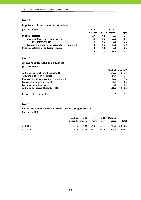#### **Impairment losses on loans and advances**

| (millions of EUR)                                  | 2011     | 2010   |           |         |
|----------------------------------------------------|----------|--------|-----------|---------|
|                                                    | 12 month | QIV    | 12 months | QIV     |
| <b>Impairment losses</b>                           | 27.5     | 0.8    | -8.9      | 16.6    |
| impairment losses of reporting period              | $-14.7$  | $-5.1$ | $-56.2$   | $-14.3$ |
| recoveries from write-offs                         | 0.2      | 0.1    | 0.2       | 0.1     |
| decreasing of impairment losses of previous period | 42.0     | 5.8    | 47.1      | 30.8    |
| Impairment losses for contingent liabilities       | $-2.7$   | 1.6    | $-0.2$    | 0.1     |
|                                                    | 24.8     | 2.4    | $-9.1$    | 16.7    |

## **Note 7**

#### **Allowances on loans and advances**

(millions of EUR)

|                                             | 31.12.11 | 31.12.10      |
|---------------------------------------------|----------|---------------|
| At the beginning of period (January, 1)     | 179.5    | 195.3         |
| Allowances of reporting period              | 14.7     | 55.7          |
| Decreasing of allowances of previous period | $-42.0$  | $-47.1$       |
| Loans and advances written off              | $-21.2$  | $-24.6$       |
| Exchange rate adjustments                   | 0.0      | 0.2           |
| At the end of period (December, 31)         | 131.0    | 179.5         |
|                                             |          |               |
| Recoveries from write-offs                  | 0.2      | $0.2^{\circ}$ |

#### **Note 8**

# **Loans and advances to customers by remaining maturity**

(millions of EUR)

|          | Less than 3-12 1-5 5-10 Over 10<br>3 months months | vears | vears | vears                                     | Total |
|----------|----------------------------------------------------|-------|-------|-------------------------------------------|-------|
| 31.12.11 |                                                    |       |       | 174.2 509.0 1,390.1 517.9 949.3 3,540.5   |       |
| 31.12.10 |                                                    |       |       | 207.6 387.6 1,465.5 542.8 1,003.2 3,606.7 |       |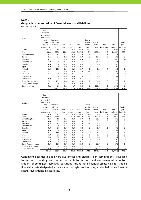#### **Geographic concentration of financial assets and liabilities**

(millions of EUR)

| 31.12.11             | Cash,<br>balances<br>with central<br>bank, loans<br>and<br>advances to<br>credit<br>institutions | Loans and<br>advances<br>to custo-<br>mers | Securi-<br>ties | Other<br>assets | Total<br>assets | Due to<br>credit<br>institu-<br>tions | Due to<br>custo-<br>mers | Other<br>liabilities | Total<br>liabilities | Contin-<br>gent<br>liabilities |
|----------------------|--------------------------------------------------------------------------------------------------|--------------------------------------------|-----------------|-----------------|-----------------|---------------------------------------|--------------------------|----------------------|----------------------|--------------------------------|
| Sweden               | 403.3                                                                                            | 1.6                                        | 3.1             | 0.3             | 408.3           | 862.8                                 | 9.8                      | 66.8                 | 939.4                | 1.3                            |
| Estonia              | 88.3                                                                                             | 3,496.8                                    | 22.1            | 19.8            | 3,627.0         | 24.6                                  | 2,088.8                  | 73.0                 | 2,186.4              | 695.4                          |
| United Kingdom       | 0.4                                                                                              | 2.2                                        | 0.3             | 0.0             | 2.9             | 6.9                                   | 17.8                     | 0.1                  | 24.8                 | 0.2                            |
| Russia               | 2.5                                                                                              | 0.4                                        | 0.0             | 0.0             | 2.9             | 0.4                                   | 17.2                     | 0.0                  | 17.6                 | 0.1                            |
| Germany              | 0.2                                                                                              | 0.2                                        | 0.0             | 0.0             | 0.4             | 33.2                                  | 2.3                      | 0.0                  | 35.5                 | 7.4                            |
| <b>United States</b> | 2.8                                                                                              | 0.8                                        | 0.5             | 0.0             | 4.1             | 0.2                                   | 51.9                     | 0.0                  | 52.1                 | 0.1                            |
| Canada               | 0.0                                                                                              | 0.0                                        | 0.0             | 0.0             | 0.0             | 0.0                                   | 0.8                      | 0.0                  | 0.8                  | 0.0                            |
| Japan                | 0.0                                                                                              | 0.0                                        | 0.0             | 0.0             | 0.0             | 0.0                                   | 0.4                      | 0.0                  | 0.4                  | 0.0                            |
| Finland              | 0.0                                                                                              | 19.2                                       | 0.0             | 0.5             | 19.7            | 0.0                                   | 8.1                      | 0.4                  | 8.5                  | 2.0                            |
| Latvia               | 5.2                                                                                              | 0.1                                        | 0.0             | 0.0             | 5.3             | 17.7                                  | 1.8                      | 0.0                  | 19.5                 | 0.0                            |
| Lithuania            | 1.5                                                                                              | 0.0                                        | 0.0             | 0.1             | 1.6             | 0.3                                   | 2.1                      | 0.0                  | 2.4                  | 0.0                            |
| Luxembourg           | 1.1                                                                                              | 0.0                                        | 0.0             | 0.4             | 1.5             | 0.1                                   | 0.0                      | 0.0                  | 0.1                  | 0.0                            |
| Netherlands          | 0.0                                                                                              | 0.5                                        | 0.0             | 0.0             | 0.5             | 0.0                                   | 1.3                      | 0.0                  | 1.3                  | 0.0                            |
| Other Western Europe | 5.1                                                                                              | 18.1                                       | 0.0             | 0.1             | 23.3            | 2.2                                   | 14.8                     | 0.0                  | 17.0                 | 1.1                            |
| Other Eastern Europe | 0.7                                                                                              | 0.0                                        | 0.2             | 0.0             | 0.9             | 0.0                                   | 1.9                      | 0.0                  | 1.9                  | 0.0                            |
| Other countries      | 0.1                                                                                              | 0.6                                        | 0.2             | 4.7             | 5.6             | 0.1                                   | 159.8                    | 6.1                  | 166.0                | 0.0                            |
|                      | 511.2                                                                                            | 3,540.5                                    | 26.4            | 25.9            | 4,104.0         | 948.5                                 | 2,378.8                  | 146.4                | 3,473.7              | 707.6                          |
|                      |                                                                                                  |                                            |                 |                 |                 |                                       |                          |                      |                      |                                |

| 31.12.10             | Cash,<br>balances<br>with central<br>bank, loans<br>and | Loans and |         |        |         | Due to   |         |             |             |             |
|----------------------|---------------------------------------------------------|-----------|---------|--------|---------|----------|---------|-------------|-------------|-------------|
|                      | advances to                                             | advances  |         |        |         | credit   | Due to  |             |             | Contin-     |
|                      | credit                                                  | to custo- | Securi- | Other  | Total   | institu- | custo-  | Other       | Total       | gent        |
|                      | institutions                                            | mers      | ties    | assets | assets  | tions    | mers    | liabilities | liabilities | liabilities |
| Sweden               | 258.5                                                   | 2.2       | 5.6     | 0.3    | 266.6   | 1,324.0  | 9.6     | 132.2       | 1,465.8     | 1.2         |
| Estonia              | 355.2                                                   | 3,568.9   | 21.2    | 47.9   | 3,993.2 | 14.6     | 1,891.0 | 88.3        | 1,993.9     | 465.5       |
| United Kingdom       | 0.6                                                     | 1.9       | 0.2     | 0.0    | 2.7     | 1.4      | 28.3    | 0.1         | 29.8        | 0.3         |
| Russia               | 0.8                                                     | 0.5       | 0.0     | 0.0    | 1.3     | 0.9      | 15.7    | 0.0         | 16.6        | 0.1         |
| Germany              | 0.3                                                     | 2.2       | 0.0     | 0.0    | 2.5     | 69.9     | 3.5     | 0.0         | 73.4        | 5.5         |
| <b>United States</b> | 0.5                                                     | 0.9       | 0.3     | 0.2    | 1.9     | 0.1      | 24.9    | 0.0         | 25.0        | 0.1         |
| Canada               | 0.0                                                     | 0.0       | 0.0     | 0.0    | 0.0     | 0.0      | 0.7     | 0.1         | 0.8         | 0.0         |
| Japan                | 0.0                                                     | 0.0       | 0.0     | 0.0    | 0.0     | 0.0      | 0.2     | 0.0         | 0.2         | 0.0         |
| Finland              | 0.2                                                     | 18.6      | 0.0     | 0.0    | 18.8    | 0.0      | 8.5     | 0.0         | 8.5         | 2.1         |
| Latvia               | 7.0                                                     | 0.1       | 0.0     | 0.0    | 7.1     | 2.4      | 2.4     | 0.0         | 4.8         | 0.0         |
| Lithuania            | 3.3                                                     | 0.0       | 0.0     | 0.0    | 3.3     | 2.1      | 1.6     | 0.0         | 3.7         | 0.0         |
| Luxembourg           | 1.8                                                     | 0.0       | 0.0     | 0.5    | 2.3     | 0.0      | 0.0     | 0.0         | 0.0         | 0.0         |
| Netherlands          | 0.0                                                     | 0.6       | 0.0     | 0.0    | 0.6     | 0.0      | 0.2     | 0.0         | 0.2         | 0.0         |
| Other Western Europe | 5.3                                                     | 10.1      | 0.0     | 0.0    | 15.4    | 3.9      | 23.7    | 0.0         | 27.6        | 1.6         |
| Other Eastern Europe | 1.1                                                     | 0.0       | 0.0     | 0.0    | 1.1     | 0.0      | 1.6     | 0.0         | 1.6         | 0.0         |
| Other countries      | 0.0                                                     | 0.7       | 0.0     | 8.3    | 9.0     | 0.1      | 137.5   | 4.5         | 142.1       | 0.0         |
|                      | 634.6                                                   | 3,606.7   | 27.3    | 57.2   | 4,325.8 | 1,419.4  | 2,149.4 | 225.2       | 3,794.0     | 476.4       |

Contingent liabilities include here guarantees and pledges, loan commitments, revocable transactions, stand‐by loans, other revocable transactions and are presented in contract amount of contingent liabilities. Securities include here financial assets held for trading, financial assets designated at fair value through profit or loss, available‐for‐sale financial assets, investments in associates.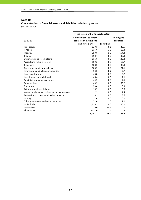#### **Concentration of financial assets and liabilities by industry sector** (millions of EUR)

**In the statement of financial position 31.12.11 Cash and loans to central bank, credit institutions and customers Securities Contingent liabilities** Real estate 629.1 0.1 20.5 Finance 3.9 15.4 **15.4** 15.4 **15.4** 15.4 **15.4** 15.4 Industry 259.6 1.0 154.4 Trading 198.7 0.0 88.4 Energy, gas and steam plants and the metal control of the steam of the 116.6 and 140.4 Agriculture, fishing, forestry 109.3 0.0 12.7 Transport 108.5 0.0 80.0 Government and state defence example and state defence the state of the state of the state of the state of the  $106.9$  and  $21.1$ Information and telecommunication 53.2 0.7 7.7 Hotels, restaurants 46.8 0.0 0.7 Health services, social work and the services of the services of the services of the services of the services of  $7.1$ Administration and assistance 44.5 0.0 7.6 Construction 43.2 0.0 63.2  $\frac{1}{23.0}$  and  $\frac{1}{23.0}$  0.0 6.3 Art, show business, leisure 15.5 0.0 0.6 Water supply, canalisation, waste management 12.9 0.0 4.4 Professional, science and technical work 6 0.0 3.6  $\mu$  Mining 2.6 0.0 0.2 Other government and social services and the control of the control of the control of the control of the control of the control of the control of the control of the control of the control of the control of the control of t Individuals 1,819.2 0.0 66.2 Derivatives 0.0 19.7 0.0 Allowances -131.0 - -**4,051.7 26.4 707.6**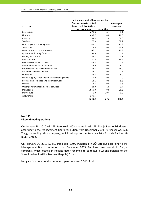|                                              | In the statement of financial position |                   |                    |
|----------------------------------------------|----------------------------------------|-------------------|--------------------|
|                                              | Cash and loans to central              |                   | Contingent         |
| 31.12.10                                     | bank, credit institutions              |                   | <b>liabilities</b> |
|                                              | and customers                          | <b>Securities</b> |                    |
| Real estate                                  | 671.8                                  | 0.1               | 6.7                |
| Finance                                      | 639.7                                  | 4.0               | 16.6               |
| Industry                                     | 284.4                                  | 1.4               | 109.0              |
| Trading                                      | 170.9                                  | 0.0               | 68.2               |
| Energy, gas and steam plants                 | 147.7                                  | 0.0               | 27.3               |
| Transport                                    | 112.5                                  | 0.0               | 43.1               |
| Government and state defence                 | 106.7                                  | 0.0               | 20.3               |
| Agriculture, fishing, forestry               | 91.0                                   | 0.0               | 7.3                |
| Hotels, restaurants                          | 54.2                                   | 0.0               | 0.3                |
| Construction                                 | 50.6                                   | 0.0               | 54.4               |
| Health services, social work                 | 47.8                                   | 0.0               | 7.6                |
| Administration and assistance                | 37.0                                   | 0.0               | 6.0                |
| Information and telecommunication            | 28.3                                   | 0.4               | 25.0               |
| Art, show business, leisure                  | 28.1                                   | 0.0               | 1.7                |
| Education                                    | 26.5                                   | 0.0               | 5.0                |
| Water supply, canalisation, waste management | 15.9                                   | 0.0               | 2.0                |
| Professional, science and technical work     | 13.1                                   | 0.0               | 5.6                |
| Mining                                       | 2.6                                    | 0.0               | 0.3                |
| Other government and social services         | 23.0                                   | 1.0               | 3.7                |
| Individuals                                  | 1,869.0                                | 0.0               | 66.3               |
| Derivatives                                  | 0.0                                    | 20.4              | 0.0                |
| Allowances                                   | $-179.5$                               |                   |                    |
|                                              | 4,241.3                                | 27.3              | 476.4              |

## **Note 11 Discontinued operations**

On January 28, 2010 AS SEB Pank sold 100% shares in AS SEB Elu‐ ja Pensionikindlustus according to the Management Board resolution from December 2009. Purchaser was SEB Trygg Liv Holding AB, a company, which belongs to the Skandinaviska Enskilda Banken AB (publ) Group.

On February 26, 2010 AS SEB Pank sold 100% ownership in OÜ Estectus according to the Management Board resolution from December 2009. Purchaser was Warehold B.V., a company, which located in Holland (later renamed to Baltectus B.V.) and belongs to the Skandinaviska Enskilda Banken AB (publ) Group.

Net gain from sales of discontinued operations was 3.3 EUR mio.